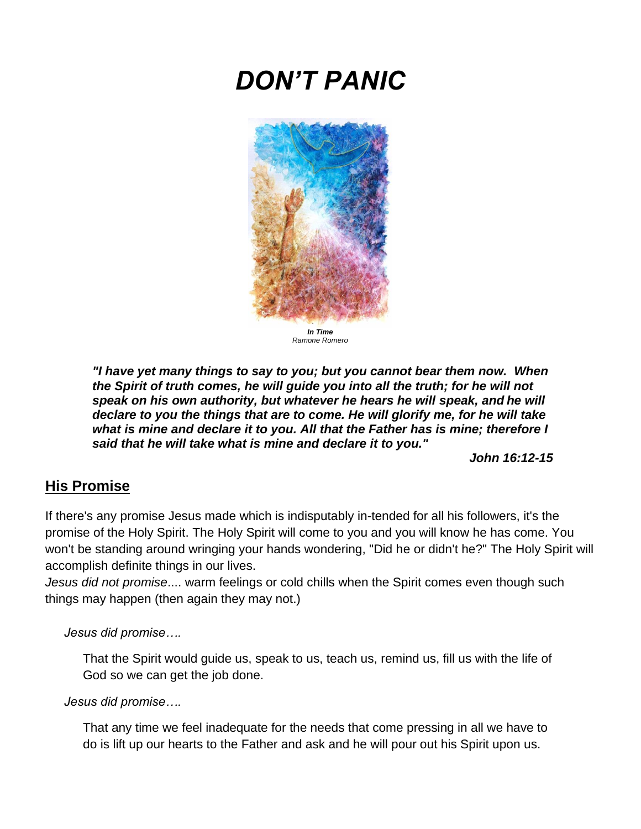# *DON'T PANIC*



*In Time Ramone Romero*

*"I have yet many things to say to you; but you cannot bear them now. When the Spirit of truth comes, he will guide you into all the truth; for he will not speak on his own authority, but whatever he hears he will speak, and he will declare to you the things that are to come. He will glorify me, for he will take what is mine and declare it to you. All that the Father has is mine; therefore I said that he will take what is mine and declare it to you."* 

*John 16:12-15*

# **His Promise**

If there's any promise Jesus made which is indisputably in-tended for all his followers, it's the promise of the Holy Spirit. The Holy Spirit will come to you and you will know he has come. You won't be standing around wringing your hands wondering, "Did he or didn't he?" The Holy Spirit will accomplish definite things in our lives.

*Jesus did not promise*.... warm feelings or cold chills when the Spirit comes even though such things may happen (then again they may not.)

*Jesus did promise….*

That the Spirit would guide us, speak to us, teach us, remind us, fill us with the life of God so we can get the job done.

*Jesus did promise….*

That any time we feel inadequate for the needs that come pressing in all we have to do is lift up our hearts to the Father and ask and he will pour out his Spirit upon us.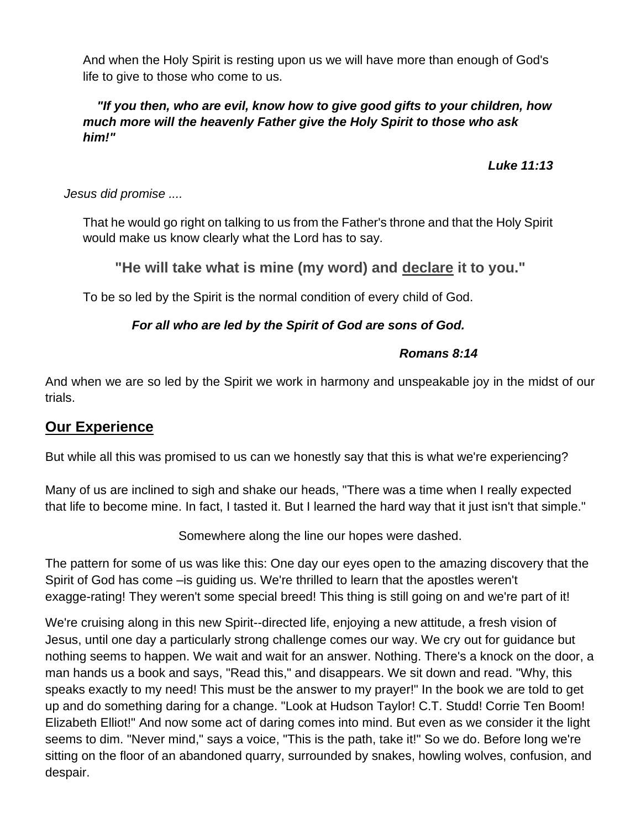And when the Holy Spirit is resting upon us we will have more than enough of God's life to give to those who come to us.

#### *"If you then, who are evil, know how to give good gifts to your children, how much more will the heavenly Father give the Holy Spirit to those who ask him!"*

*Luke 11:13*

#### *Jesus did promise ....*

That he would go right on talking to us from the Father's throne and that the Holy Spirit would make us know clearly what the Lord has to say.

### **"He will take what is mine (my word) and declare it to you."**

To be so led by the Spirit is the normal condition of every child of God.

#### *For all who are led by the Spirit of God are sons of God.*

#### *Romans 8:14*

And when we are so led by the Spirit we work in harmony and unspeakable joy in the midst of our trials.

### **Our Experience**

But while all this was promised to us can we honestly say that this is what we're experiencing?

Many of us are inclined to sigh and shake our heads, "There was a time when I really expected that life to become mine. In fact, I tasted it. But I learned the hard way that it just isn't that simple."

Somewhere along the line our hopes were dashed.

The pattern for some of us was like this: One day our eyes open to the amazing discovery that the Spirit of God has come –is guiding us. We're thrilled to learn that the apostles weren't exagge-rating! They weren't some special breed! This thing is still going on and we're part of it!

We're cruising along in this new Spirit--directed life, enjoying a new attitude, a fresh vision of Jesus, until one day a particularly strong challenge comes our way. We cry out for guidance but nothing seems to happen. We wait and wait for an answer. Nothing. There's a knock on the door, a man hands us a book and says, "Read this," and disappears. We sit down and read. "Why, this speaks exactly to my need! This must be the answer to my prayer!" In the book we are told to get up and do something daring for a change. "Look at Hudson Taylor! C.T. Studd! Corrie Ten Boom! Elizabeth Elliot!" And now some act of daring comes into mind. But even as we consider it the light seems to dim. "Never mind," says a voice, "This is the path, take it!" So we do. Before long we're sitting on the floor of an abandoned quarry, surrounded by snakes, howling wolves, confusion, and despair.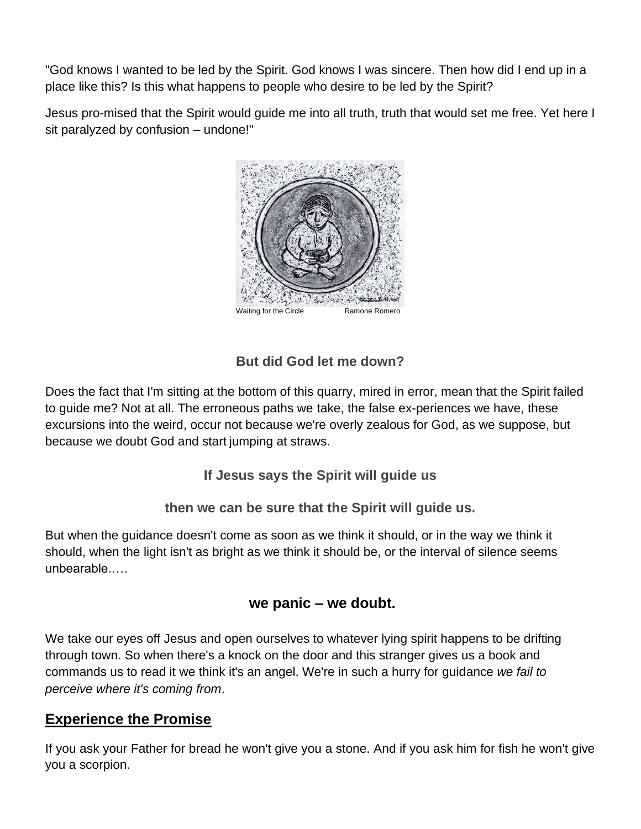"God knows I wanted to be led by the Spirit. God knows I was sincere. Then how did I end up in a place like this? Is this what happens to people who desire to be led by the Spirit?

Jesus pro-mised that the Spirit would guide me into all truth, truth that would set me free. Yet here I sit paralyzed by confusion – undone!"



## **But did God let me down?**

Does the fact that I'm sitting at the bottom of this quarry, mired in error, mean that the Spirit failed to guide me? Not at all. The erroneous paths we take, the false ex-periences we have, these excursions into the weird, occur not because we're overly zealous for God, as we suppose, but because we doubt God and start jumping at straws.

**If Jesus says the Spirit will guide us** 

### **then we can be sure that the Spirit will guide us.**

But when the guidance doesn't come as soon as we think it should, or in the way we think it should, when the light isn't as bright as we think it should be, or the interval of silence seems unbearable.….

## **we panic – we doubt.**

We take our eyes off Jesus and open ourselves to whatever lying spirit happens to be drifting through town. So when there's a knock on the door and this stranger gives us a book and commands us to read it we think it's an angel. We're in such a hurry for guidance *we fail to perceive where it's coming from*.

# **Experience the Promise**

If you ask your Father for bread he won't give you a stone. And if you ask him for fish he won't give you a scorpion.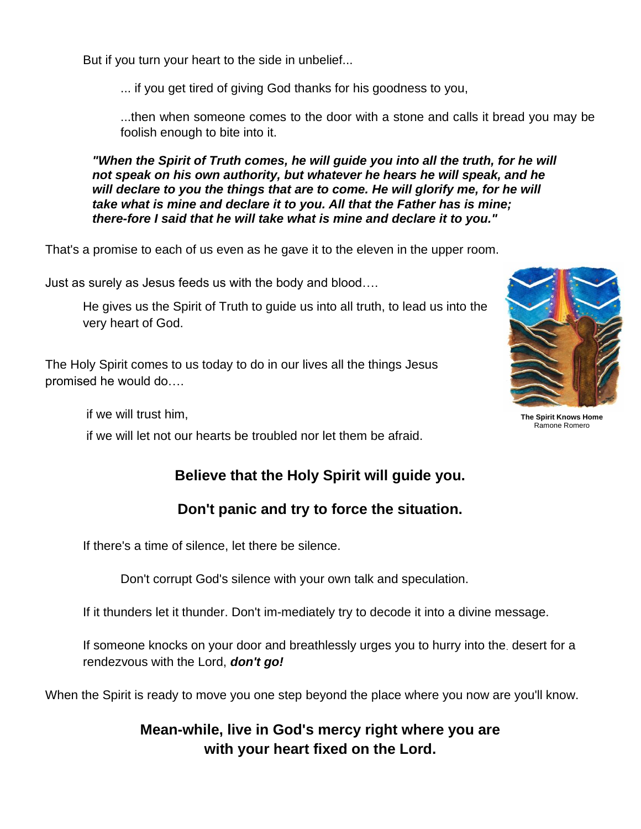But if you turn your heart to the side in unbelief...

... if you get tired of giving God thanks for his goodness to you,

...then when someone comes to the door with a stone and calls it bread you may be foolish enough to bite into it.

*"When the Spirit of Truth comes, he will guide you into all the truth, for he will not speak on his own authority, but whatever he hears he will speak, and he*  will declare to you the things that are to come. He will glorify me, for he will *take what is mine and declare it to you. All that the Father has is mine; there-fore I said that he will take what is mine and declare it to you."*

That's a promise to each of us even as he gave it to the eleven in the upper room.

Just as surely as Jesus feeds us with the body and blood….

He gives us the Spirit of Truth to guide us into all truth, to lead us into the very heart of God.

The Holy Spirit comes to us today to do in our lives all the things Jesus promised he would do….

if we will trust him,

if we will let not our hearts be troubled nor let them be afraid.

# **Believe that the Holy Spirit will guide you.**

## **Don't panic and try to force the situation.**

If there's a time of silence, let there be silence.

Don't corrupt God's silence with your own talk and speculation.

If it thunders let it thunder. Don't im-mediately try to decode it into a divine message.

If someone knocks on your door and breathlessly urges you to hurry into the. desert for a rendezvous with the Lord, *don't go!* 

When the Spirit is ready to move you one step beyond the place where you now are you'll know.

**Mean-while, live in God's mercy right where you are with your heart fixed on the Lord.**



**The Spirit Knows Home** Ramone Romero